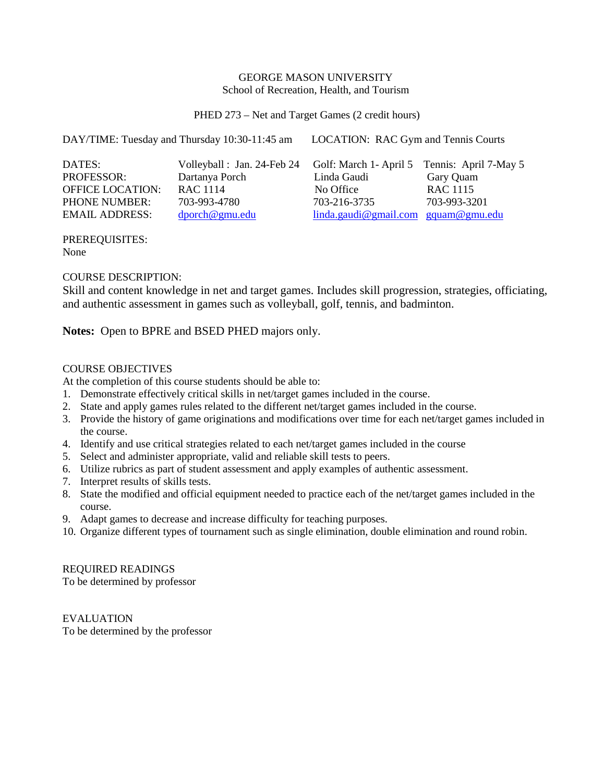#### GEORGE MASON UNIVERSITY School of Recreation, Health, and Tourism

PHED 273 – Net and Target Games (2 credit hours)

DAY/TIME: Tuesday and Thursday 10:30-11:45 am LOCATION: RAC Gym and Tennis Courts

| DATES:                  | Volleyball: Jan. 24-Feb 24 Golf: March 1- April 5 Tennis: April 7-May 5 |                                                                                            |              |
|-------------------------|-------------------------------------------------------------------------|--------------------------------------------------------------------------------------------|--------------|
| <b>PROFESSOR:</b>       | Dartanya Porch                                                          | Linda Gaudi                                                                                | Gary Quam    |
| <b>OFFICE LOCATION:</b> | RAC 1114                                                                | No Office                                                                                  | RAC 1115     |
| <b>PHONE NUMBER:</b>    | 703-993-4780                                                            | 703-216-3735                                                                               | 703-993-3201 |
| <b>EMAIL ADDRESS:</b>   | $\text{dporch@gmu.edu}$                                                 | $\frac{\text{linda.gaudi}\omega_{\text{gmail.com}}}{\text{gquam}\omega_{\text{gmun.edu}}}$ |              |

PREREQUISITES: None

## COURSE DESCRIPTION:

Skill and content knowledge in net and target games. Includes skill progression, strategies, officiating, and authentic assessment in games such as volleyball, golf, tennis, and badminton.

**Notes:** Open to BPRE and BSED PHED majors only.

## COURSE OBJECTIVES

At the completion of this course students should be able to:

- 1. Demonstrate effectively critical skills in net/target games included in the course.
- 2. State and apply games rules related to the different net/target games included in the course.
- 3. Provide the history of game originations and modifications over time for each net/target games included in the course.
- 4. Identify and use critical strategies related to each net/target games included in the course
- 5. Select and administer appropriate, valid and reliable skill tests to peers.
- 6. Utilize rubrics as part of student assessment and apply examples of authentic assessment.
- 7. Interpret results of skills tests.
- 8. State the modified and official equipment needed to practice each of the net/target games included in the course.
- 9. Adapt games to decrease and increase difficulty for teaching purposes.
- 10. Organize different types of tournament such as single elimination, double elimination and round robin.

REQUIRED READINGS To be determined by professor

EVALUATION To be determined by the professor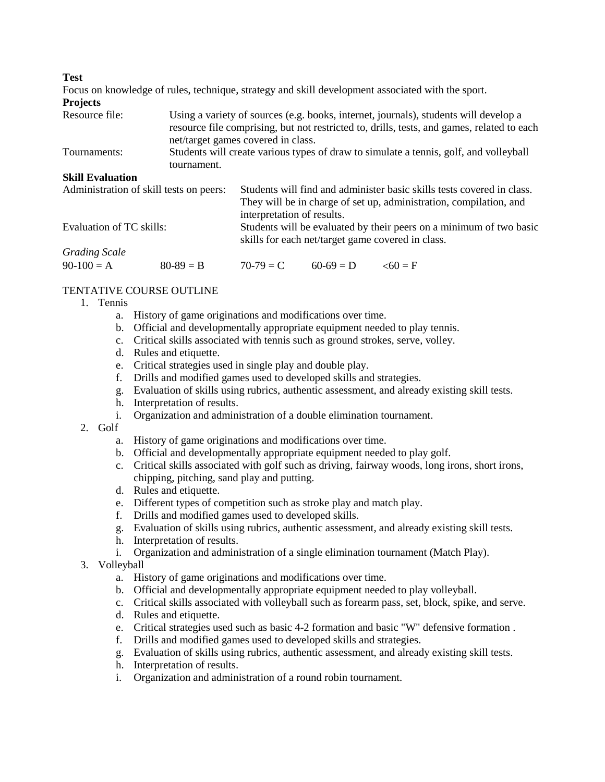**Test**

Focus on knowledge of rules, technique, strategy and skill development associated with the sport. **Projects**  $U\sin\alpha$  a variety of sources (e.g. books, internet, journals), students will develop a

| RESULTE THE. | USING a Variety of Sources (e.g. books, interfect, journals), students will develop a      |
|--------------|--------------------------------------------------------------------------------------------|
|              | resource file comprising, but not restricted to, drills, tests, and games, related to each |
|              | net/target games covered in class.                                                         |
| Tournaments: | Students will create various types of draw to simulate a tennis, golf, and volleyball      |
|              | tournament.                                                                                |

### **Skill Evaluation**

| Administration of skill tests on peers: |             | Students will find and administer basic skills tests covered in class.                                                   |             |               |  |  |
|-----------------------------------------|-------------|--------------------------------------------------------------------------------------------------------------------------|-------------|---------------|--|--|
|                                         |             | They will be in charge of set up, administration, compilation, and                                                       |             |               |  |  |
|                                         |             | interpretation of results.                                                                                               |             |               |  |  |
| Evaluation of TC skills:                |             | Students will be evaluated by their peers on a minimum of two basic<br>skills for each net/target game covered in class. |             |               |  |  |
| <b>Grading Scale</b>                    |             |                                                                                                                          |             |               |  |  |
| $90-100 = A$                            | $80-89 = B$ | $70-79 = C$                                                                                                              | $60-69 = D$ | $\leq 60 = F$ |  |  |

# TENTATIVE COURSE OUTLINE

- 1. Tennis
	- a. History of game originations and modifications over time.
	- b. Official and developmentally appropriate equipment needed to play tennis.
	- c. Critical skills associated with tennis such as ground strokes, serve, volley.
	- d. Rules and etiquette.
	- e. Critical strategies used in single play and double play.
	- f. Drills and modified games used to developed skills and strategies.
	- g. Evaluation of skills using rubrics, authentic assessment, and already existing skill tests.
	- h. Interpretation of results.
	- i. Organization and administration of a double elimination tournament.
- 2. Golf
	- a. History of game originations and modifications over time.
	- b. Official and developmentally appropriate equipment needed to play golf.
	- c. Critical skills associated with golf such as driving, fairway woods, long irons, short irons, chipping, pitching, sand play and putting.
	- d. Rules and etiquette.
	- e. Different types of competition such as stroke play and match play.
	- f. Drills and modified games used to developed skills.
	- g. Evaluation of skills using rubrics, authentic assessment, and already existing skill tests.
	- h. Interpretation of results.
	- i. Organization and administration of a single elimination tournament (Match Play).
- 3. Volleyball
	- a. History of game originations and modifications over time.
	- b. Official and developmentally appropriate equipment needed to play volleyball.
	- c. Critical skills associated with volleyball such as forearm pass, set, block, spike, and serve.
	- d. Rules and etiquette.
	- e. Critical strategies used such as basic 4-2 formation and basic "W" defensive formation .
	- f. Drills and modified games used to developed skills and strategies.
	- g. Evaluation of skills using rubrics, authentic assessment, and already existing skill tests.
	- h. Interpretation of results.
	- i. Organization and administration of a round robin tournament.